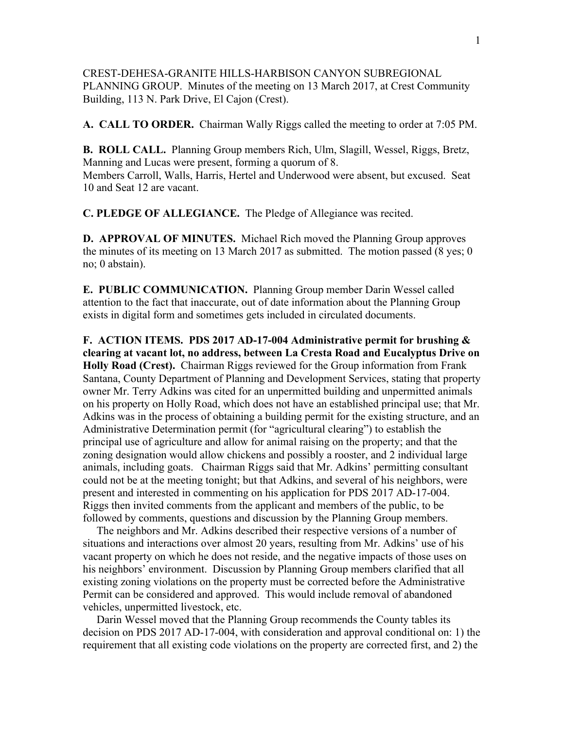## CREST-DEHESA-GRANITE HILLS-HARBISON CANYON SUBREGIONAL PLANNING GROUP. Minutes of the meeting on 13 March 2017, at Crest Community Building, 113 N. Park Drive, El Cajon (Crest).

**A. CALL TO ORDER.** Chairman Wally Riggs called the meeting to order at 7:05 PM.

**B. ROLL CALL.** Planning Group members Rich, Ulm, Slagill, Wessel, Riggs, Bretz, Manning and Lucas were present, forming a quorum of 8. Members Carroll, Walls, Harris, Hertel and Underwood were absent, but excused. Seat 10 and Seat 12 are vacant.

**C. PLEDGE OF ALLEGIANCE.** The Pledge of Allegiance was recited.

**D. APPROVAL OF MINUTES.** Michael Rich moved the Planning Group approves the minutes of its meeting on 13 March 2017 as submitted. The motion passed (8 yes; 0 no; 0 abstain).

**E. PUBLIC COMMUNICATION.** Planning Group member Darin Wessel called attention to the fact that inaccurate, out of date information about the Planning Group exists in digital form and sometimes gets included in circulated documents.

**F. ACTION ITEMS. PDS 2017 AD-17-004 Administrative permit for brushing & clearing at vacant lot, no address, between La Cresta Road and Eucalyptus Drive on Holly Road (Crest).** Chairman Riggs reviewed for the Group information from Frank Santana, County Department of Planning and Development Services, stating that property owner Mr. Terry Adkins was cited for an unpermitted building and unpermitted animals on his property on Holly Road, which does not have an established principal use; that Mr. Adkins was in the process of obtaining a building permit for the existing structure, and an Administrative Determination permit (for "agricultural clearing") to establish the principal use of agriculture and allow for animal raising on the property; and that the zoning designation would allow chickens and possibly a rooster, and 2 individual large animals, including goats. Chairman Riggs said that Mr. Adkins' permitting consultant could not be at the meeting tonight; but that Adkins, and several of his neighbors, were present and interested in commenting on his application for PDS 2017 AD-17-004. Riggs then invited comments from the applicant and members of the public, to be followed by comments, questions and discussion by the Planning Group members.

 The neighbors and Mr. Adkins described their respective versions of a number of situations and interactions over almost 20 years, resulting from Mr. Adkins' use of his vacant property on which he does not reside, and the negative impacts of those uses on his neighbors' environment. Discussion by Planning Group members clarified that all existing zoning violations on the property must be corrected before the Administrative Permit can be considered and approved. This would include removal of abandoned vehicles, unpermitted livestock, etc.

 Darin Wessel moved that the Planning Group recommends the County tables its decision on PDS 2017 AD-17-004, with consideration and approval conditional on: 1) the requirement that all existing code violations on the property are corrected first, and 2) the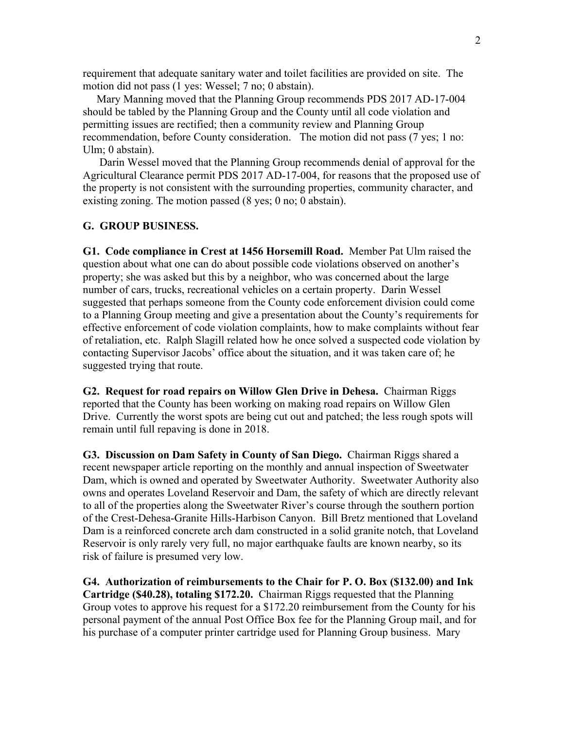requirement that adequate sanitary water and toilet facilities are provided on site. The motion did not pass (1 yes: Wessel; 7 no; 0 abstain).

 Mary Manning moved that the Planning Group recommends PDS 2017 AD-17-004 should be tabled by the Planning Group and the County until all code violation and permitting issues are rectified; then a community review and Planning Group recommendation, before County consideration. The motion did not pass (7 yes; 1 no: Ulm; 0 abstain).

 Darin Wessel moved that the Planning Group recommends denial of approval for the Agricultural Clearance permit PDS 2017 AD-17-004, for reasons that the proposed use of the property is not consistent with the surrounding properties, community character, and existing zoning. The motion passed (8 yes; 0 no; 0 abstain).

## **G. GROUP BUSINESS.**

**G1. Code compliance in Crest at 1456 Horsemill Road.** Member Pat Ulm raised the question about what one can do about possible code violations observed on another's property; she was asked but this by a neighbor, who was concerned about the large number of cars, trucks, recreational vehicles on a certain property. Darin Wessel suggested that perhaps someone from the County code enforcement division could come to a Planning Group meeting and give a presentation about the County's requirements for effective enforcement of code violation complaints, how to make complaints without fear of retaliation, etc. Ralph Slagill related how he once solved a suspected code violation by contacting Supervisor Jacobs' office about the situation, and it was taken care of; he suggested trying that route.

**G2. Request for road repairs on Willow Glen Drive in Dehesa.** Chairman Riggs reported that the County has been working on making road repairs on Willow Glen Drive. Currently the worst spots are being cut out and patched; the less rough spots will remain until full repaving is done in 2018.

**G3. Discussion on Dam Safety in County of San Diego.** Chairman Riggs shared a recent newspaper article reporting on the monthly and annual inspection of Sweetwater Dam, which is owned and operated by Sweetwater Authority. Sweetwater Authority also owns and operates Loveland Reservoir and Dam, the safety of which are directly relevant to all of the properties along the Sweetwater River's course through the southern portion of the Crest-Dehesa-Granite Hills-Harbison Canyon. Bill Bretz mentioned that Loveland Dam is a reinforced concrete arch dam constructed in a solid granite notch, that Loveland Reservoir is only rarely very full, no major earthquake faults are known nearby, so its risk of failure is presumed very low.

**G4. Authorization of reimbursements to the Chair for P. O. Box (\$132.00) and Ink Cartridge (\$40.28), totaling \$172.20.** Chairman Riggs requested that the Planning Group votes to approve his request for a \$172.20 reimbursement from the County for his personal payment of the annual Post Office Box fee for the Planning Group mail, and for his purchase of a computer printer cartridge used for Planning Group business. Mary